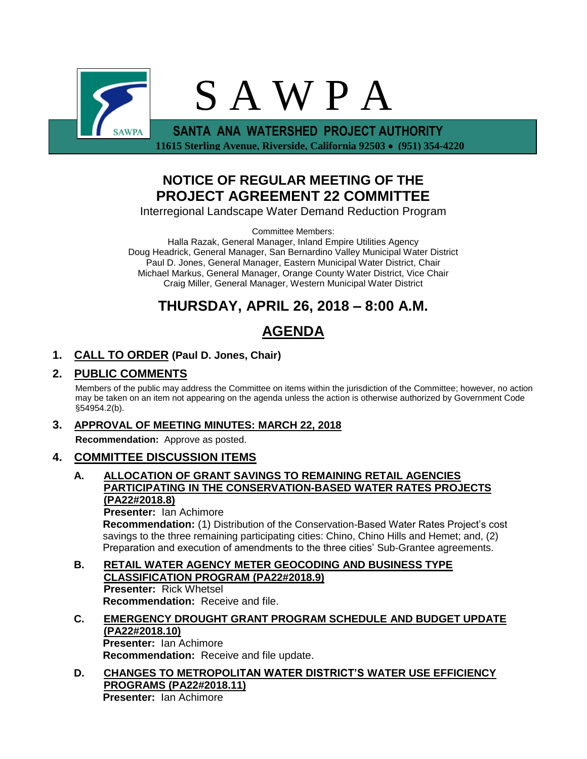

 **11615 Sterling Avenue, Riverside, California 92503 (951) 354-4220**

# **NOTICE OF REGULAR MEETING OF THE PROJECT AGREEMENT 22 COMMITTEE**

Interregional Landscape Water Demand Reduction Program

Committee Members:

Halla Razak, General Manager, Inland Empire Utilities Agency Doug Headrick, General Manager, San Bernardino Valley Municipal Water District Paul D. Jones, General Manager, Eastern Municipal Water District, Chair Michael Markus, General Manager, Orange County Water District, Vice Chair Craig Miller, General Manager, Western Municipal Water District

# **THURSDAY, APRIL 26, 2018 – 8:00 A.M.**

# **AGENDA**

## **1. CALL TO ORDER (Paul D. Jones, Chair)**

## **2. PUBLIC COMMENTS**

Members of the public may address the Committee on items within the jurisdiction of the Committee; however, no action may be taken on an item not appearing on the agenda unless the action is otherwise authorized by Government Code §54954.2(b).

### **3. APPROVAL OF MEETING MINUTES: MARCH 22, 2018**

**Recommendation:** Approve as posted.

### **4. COMMITTEE DISCUSSION ITEMS**

#### **A. ALLOCATION OF GRANT SAVINGS TO REMAINING RETAIL AGENCIES PARTICIPATING IN THE CONSERVATION-BASED WATER RATES PROJECTS (PA22#2018.8)**

**Presenter:** Ian Achimore **Recommendation:** (1) Distribution of the Conservation-Based Water Rates Project's cost savings to the three remaining participating cities: Chino, Chino Hills and Hemet; and, (2) Preparation and execution of amendments to the three cities' Sub-Grantee agreements.

**B. RETAIL WATER AGENCY METER GEOCODING AND BUSINESS TYPE CLASSIFICATION PROGRAM (PA22#2018.9) Presenter:** Rick Whetsel **Recommendation:** Receive and file.

## **C. EMERGENCY DROUGHT GRANT PROGRAM SCHEDULE AND BUDGET UPDATE (PA22#2018.10) Presenter:** Ian Achimore

**Recommendation:** Receive and file update.

**D. CHANGES TO METROPOLITAN WATER DISTRICT'S WATER USE EFFICIENCY PROGRAMS (PA22#2018.11) Presenter:** Ian Achimore